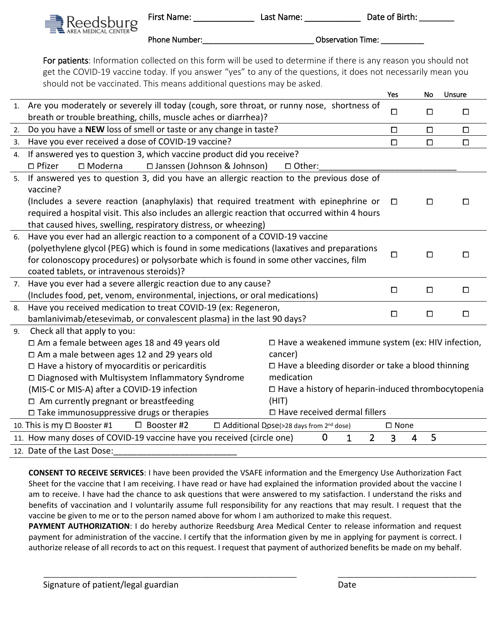Phone Number:\_\_\_\_\_\_\_\_\_\_\_\_\_\_\_\_\_\_\_\_\_\_\_\_\_\_\_\_\_\_\_\_\_\_Observation Time:

For patients: Information collected on this form will be used to determine if there is any reason you should not get the COVID-19 vaccine today. If you answer "yes" to any of the questions, it does not necessarily mean you should not be vaccinated. This means additional questions may be asked.

|    |                                                                                                                                  | Yes                                                       | No     | Unsure |  |  |
|----|----------------------------------------------------------------------------------------------------------------------------------|-----------------------------------------------------------|--------|--------|--|--|
| 1. | Are you moderately or severely ill today (cough, sore throat, or runny nose, shortness of                                        |                                                           |        |        |  |  |
|    | breath or trouble breathing, chills, muscle aches or diarrhea)?                                                                  | $\Box$                                                    | $\Box$ | $\Box$ |  |  |
| 2. | Do you have a NEW loss of smell or taste or any change in taste?                                                                 | $\Box$                                                    | $\Box$ | $\Box$ |  |  |
| 3. | Have you ever received a dose of COVID-19 vaccine?                                                                               | □                                                         | $\Box$ | $\Box$ |  |  |
| 4. | If answered yes to question 3, which vaccine product did you receive?                                                            |                                                           |        |        |  |  |
|    | $\Box$ Pfizer<br>$\square$ Moderna<br>□ Janssen (Johnson & Johnson)<br>□ Other:                                                  |                                                           |        |        |  |  |
| 5. | If answered yes to question 3, did you have an allergic reaction to the previous dose of                                         |                                                           |        |        |  |  |
|    | vaccine?                                                                                                                         |                                                           |        |        |  |  |
|    | (Includes a severe reaction (anaphylaxis) that required treatment with epinephrine or                                            | $\Box$                                                    | $\Box$ | $\Box$ |  |  |
|    | required a hospital visit. This also includes an allergic reaction that occurred within 4 hours                                  |                                                           |        |        |  |  |
|    | that caused hives, swelling, respiratory distress, or wheezing)                                                                  |                                                           |        |        |  |  |
| 6. | Have you ever had an allergic reaction to a component of a COVID-19 vaccine                                                      |                                                           |        |        |  |  |
|    | (polyethylene glycol (PEG) which is found in some medications (laxatives and preparations                                        |                                                           |        |        |  |  |
|    | for colonoscopy procedures) or polysorbate which is found in some other vaccines, film                                           | □                                                         | $\Box$ | □      |  |  |
|    | coated tablets, or intravenous steroids)?                                                                                        |                                                           |        |        |  |  |
| 7. | Have you ever had a severe allergic reaction due to any cause?                                                                   | □<br>$\Box$<br>$\Box$                                     |        |        |  |  |
|    | (Includes food, pet, venom, environmental, injections, or oral medications)                                                      |                                                           |        |        |  |  |
| 8. | Have you received medication to treat COVID-19 (ex: Regeneron,                                                                   | $\Box$                                                    | $\Box$ | $\Box$ |  |  |
|    | bamlanivimab/etesevimab, or convalescent plasma) in the last 90 days?                                                            |                                                           |        |        |  |  |
| 9. | Check all that apply to you:                                                                                                     |                                                           |        |        |  |  |
|    | $\Box$ Am a female between ages 18 and 49 years old                                                                              | $\Box$ Have a weakened immune system (ex: HIV infection,  |        |        |  |  |
|    | $\Box$ Am a male between ages 12 and 29 years old<br>cancer)                                                                     |                                                           |        |        |  |  |
|    | $\Box$ Have a history of myocarditis or pericarditis                                                                             | $\Box$ Have a bleeding disorder or take a blood thinning  |        |        |  |  |
|    | medication<br>□ Diagnosed with Multisystem Inflammatory Syndrome                                                                 |                                                           |        |        |  |  |
|    | (MIS-C or MIS-A) after a COVID-19 infection                                                                                      | $\Box$ Have a history of heparin-induced thrombocytopenia |        |        |  |  |
|    | $\Box$ Am currently pregnant or breastfeeding<br>(HIT)                                                                           |                                                           |        |        |  |  |
|    | $\Box$ Have received dermal fillers<br>$\square$ Take immunosuppressive drugs or therapies                                       |                                                           |        |        |  |  |
|    | 10. This is my □ Booster #1<br>$\Box$ Booster #2<br>$\Box$ Additional Dose(>28 days from 2 <sup>nd</sup> dose)<br>$\square$ None |                                                           |        |        |  |  |
|    | $\overline{2}$<br>0<br>$\mathbf{1}$<br>11. How many doses of COVID-19 vaccine have you received (circle one)                     | 3<br>$\overline{4}$                                       | 5      |        |  |  |
|    | 12. Date of the Last Dose:                                                                                                       |                                                           |        |        |  |  |

**CONSENT TO RECEIVE SERVICES**: I have been provided the VSAFE information and the Emergency Use Authorization Fact Sheet for the vaccine that I am receiving. I have read or have had explained the information provided about the vaccine I am to receive. I have had the chance to ask questions that were answered to my satisfaction. I understand the risks and benefits of vaccination and I voluntarily assume full responsibility for any reactions that may result. I request that the vaccine be given to me or to the person named above for whom I am authorized to make this request.

**PAYMENT AUTHORIZATION**: I do hereby authorize Reedsburg Area Medical Center to release information and request payment for administration of the vaccine. I certify that the information given by me in applying for payment is correct. I authorize release of all records to act on this request. I request that payment of authorized benefits be made on my behalf.

\_\_\_\_\_\_\_\_\_\_\_\_\_\_\_\_\_\_\_\_\_\_\_\_\_\_\_\_\_\_\_\_\_\_\_\_\_\_\_\_\_\_\_\_\_\_\_\_\_\_\_\_\_\_\_\_\_\_\_\_\_\_\_\_ \_\_\_\_\_\_\_\_\_\_\_\_\_\_\_\_\_\_\_\_\_\_\_\_\_\_\_\_\_\_\_\_\_\_\_